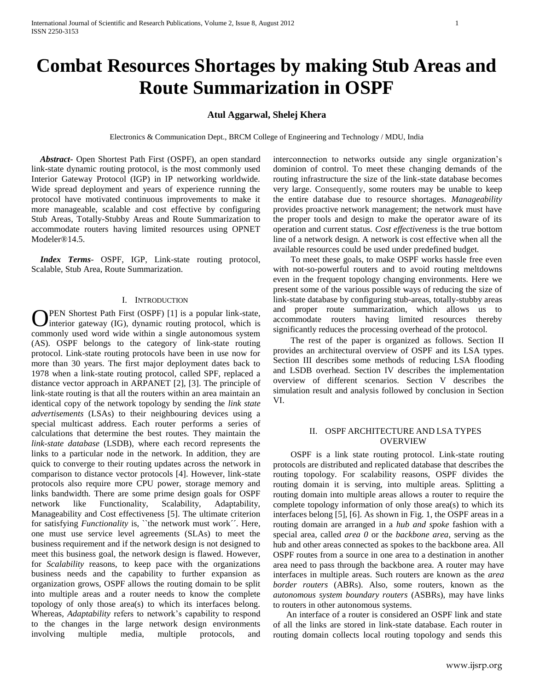# **Combat Resources Shortages by making Stub Areas and Route Summarization in OSPF**

# **Atul Aggarwal, Shelej Khera**

Electronics & Communication Dept., BRCM College of Engineering and Technology / MDU, India

 *Abstract***-** Open Shortest Path First (OSPF), an open standard link-state dynamic routing protocol, is the most commonly used Interior Gateway Protocol (IGP) in IP networking worldwide. Wide spread deployment and years of experience running the protocol have motivated continuous improvements to make it more manageable, scalable and cost effective by configuring Stub Areas, Totally-Stubby Areas and Route Summarization to accommodate routers having limited resources using OPNET Modeler®14.5.

 *Index Terms*- OSPF, IGP, Link-state routing protocol, Scalable, Stub Area, Route Summarization.

### I. INTRODUCTION

PEN Shortest Path First (OSPF) [1] is a popular link-state, **O**PEN Shortest Path First (OSPF) [1] is a popular link-state, interior gateway (IG), dynamic routing protocol, which is commonly used word wide within a single autonomous system (AS). OSPF belongs to the category of link-state routing protocol. Link-state routing protocols have been in use now for more than 30 years. The first major deployment dates back to 1978 when a link-state routing protocol, called SPF, replaced a distance vector approach in ARPANET [2], [3]. The principle of link-state routing is that all the routers within an area maintain an identical copy of the network topology by sending the *link state advertisements* (LSAs) to their neighbouring devices using a special multicast address. Each router performs a series of calculations that determine the best routes. They maintain the *link-state database* (LSDB), where each record represents the links to a particular node in the network. In addition, they are quick to converge to their routing updates across the network in comparison to distance vector protocols [4]. However, link-state protocols also require more CPU power, storage memory and links bandwidth. There are some prime design goals for OSPF network like Functionality, Scalability, Adaptability, Manageability and Cost effectiveness [5]. The ultimate criterion for satisfying *Functionality* is, "the network must work". Here, one must use service level agreements (SLAs) to meet the business requirement and if the network design is not designed to meet this business goal, the network design is flawed. However, for *Scalability* reasons, to keep pace with the organizations business needs and the capability to further expansion as organization grows, OSPF allows the routing domain to be split into multiple areas and a router needs to know the complete topology of only those area(s) to which its interfaces belong. Whereas, *Adaptability* refers to network's capability to respond to the changes in the large network design environments involving multiple media, multiple protocols, and

interconnection to networks outside any single organization's dominion of control. To meet these changing demands of the routing infrastructure the size of the link-state database becomes very large. Consequently, some routers may be unable to keep the entire database due to resource shortages. *Manageability* provides proactive network management; the network must have the proper tools and design to make the operator aware of its operation and current status. *Cost effectiveness* is the true bottom line of a network design. A network is cost effective when all the available resources could be used under predefined budget.

 To meet these goals, to make OSPF works hassle free even with not-so-powerful routers and to avoid routing meltdowns even in the frequent topology changing environments. Here we present some of the various possible ways of reducing the size of link-state database by configuring stub-areas, totally-stubby areas and proper route summarization, which allows us to accommodate routers having limited resources thereby significantly reduces the processing overhead of the protocol.

 The rest of the paper is organized as follows. Section II provides an architectural overview of OSPF and its LSA types. Section III describes some methods of reducing LSA flooding and LSDB overhead. Section IV describes the implementation overview of different scenarios. Section V describes the simulation result and analysis followed by conclusion in Section VI.

# II. OSPF ARCHITECTURE AND LSA TYPES OVERVIEW

 OSPF is a link state routing protocol. Link-state routing protocols are distributed and replicated database that describes the routing topology. For scalability reasons, OSPF divides the routing domain it is serving, into multiple areas. Splitting a routing domain into multiple areas allows a router to require the complete topology information of only those area(s) to which its interfaces belong [5], [6]. As shown in Fig. 1, the OSPF areas in a routing domain are arranged in a *hub and spoke* fashion with a special area, called *area 0* or the *backbone area*, serving as the hub and other areas connected as spokes to the backbone area. All OSPF routes from a source in one area to a destination in another area need to pass through the backbone area. A router may have interfaces in multiple areas. Such routers are known as the *area border routers* (ABRs). Also, some routers, known as the *autonomous system boundary routers* (ASBRs), may have links to routers in other autonomous systems.

 An interface of a router is considered an OSPF link and state of all the links are stored in link-state database. Each router in routing domain collects local routing topology and sends this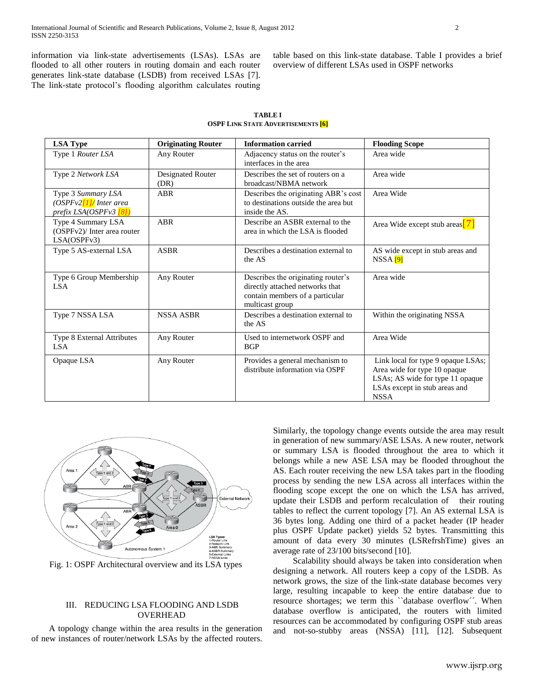information via link-state advertisements (LSAs). LSAs are flooded to all other routers in routing domain and each router generates link-state database (LSDB) from received LSAs [7]. The link-state protocol's flooding algorithm calculates routing table based on this link-state database. Table I provides a brief overview of different LS

| k-state database. Table I pro<br>SAs used in OSPF networks |  |  |
|------------------------------------------------------------|--|--|
|                                                            |  |  |
|                                                            |  |  |

| <b>TABLE I</b>                           |  |  |  |  |
|------------------------------------------|--|--|--|--|
| <b>OSPF LINK STATE ADVERTISEMENTS 66</b> |  |  |  |  |

| <b>LSA Type</b>                                                           | <b>Originating Router</b> | <b>Information carried</b>                                                                                                  | <b>Flooding Scope</b>                                                                                                                                  |
|---------------------------------------------------------------------------|---------------------------|-----------------------------------------------------------------------------------------------------------------------------|--------------------------------------------------------------------------------------------------------------------------------------------------------|
| Type 1 Router LSA                                                         | Any Router                | Adjacency status on the router's<br>interfaces in the area                                                                  | Area wide                                                                                                                                              |
| Type 2 Network LSA                                                        | Designated Router<br>(DR) | Describes the set of routers on a<br>broadcast/NBMA network                                                                 | Area wide                                                                                                                                              |
| Type 3 Summary LSA<br>$(OSPFv2$ [1]/ Inter area<br>prefix LSA(OSPFv3 [8]) | <b>ABR</b>                | Describes the originating ABR's cost<br>to destinations outside the area but<br>inside the AS.                              | Area Wide                                                                                                                                              |
| Type 4 Summary LSA<br>(OSPFv2)/ Inter area router<br>LSA(OSPFv3)          | <b>ABR</b>                | Describe an ASBR external to the<br>area in which the LSA is flooded                                                        | Area Wide except stub areas $ 7 $                                                                                                                      |
| Type 5 AS-external LSA                                                    | <b>ASBR</b>               | Describes a destination external to<br>the AS                                                                               | AS wide except in stub areas and<br>NSSA <sub>[9]</sub>                                                                                                |
| Type 6 Group Membership<br><b>LSA</b>                                     | Any Router                | Describes the originating router's<br>directly attached networks that<br>contain members of a particular<br>multicast group | Area wide                                                                                                                                              |
| Type 7 NSSA LSA                                                           | <b>NSSA ASBR</b>          | Describes a destination external to<br>the AS                                                                               | Within the originating NSSA                                                                                                                            |
| Type 8 External Attributes<br><b>LSA</b>                                  | Any Router                | Used to internetwork OSPF and<br><b>BGP</b>                                                                                 | Area Wide                                                                                                                                              |
| Opaque LSA                                                                | Any Router                | Provides a general mechanism to<br>distribute information via OSPF                                                          | Link local for type 9 opaque LSAs;<br>Area wide for type 10 opaque<br>LSAs; AS wide for type 11 opaque<br>LSAs except in stub areas and<br><b>NSSA</b> |



Fig. 1: OSPF Architectural overview and its LSA types

# III. REDUCING LSA FLOODING AND LSDB OVERHEAD

 A topology change within the area results in the generation of new instances of router/network LSAs by the affected routers. Similarly, the topology change events outside the area may result in generation of new summary/ASE LSAs. A new router, network or summary LSA is flooded throughout the area to which it belongs while a new ASE LSA may be flooded throughout the AS. Each router receiving the new LSA takes part in the flooding process by sending the new LSA across all interfaces within the flooding scope except the one on which the LSA has arrived, update their LSDB and perform recalculation of their routing tables to reflect the current topology [7]. An AS external LSA is 36 bytes long. Adding one third of a packet header (IP header plus OSPF Update packet) yields 52 bytes. Transmitting this amount of data every 30 minutes (LSRefrshTime) gives an average rate of 23/100 bits/second [10].

 Scalability should always be taken into consideration when designing a network. All routers keep a copy of the LSDB. As network grows, the size of the link-state database becomes very large, resulting incapable to keep the entire database due to resource shortages; we term this ``database overflow´´. When database overflow is anticipated, the routers with limited resources can be accommodated by configuring OSPF stub areas and not-so-stubby areas (NSSA) [11], [12]. Subsequent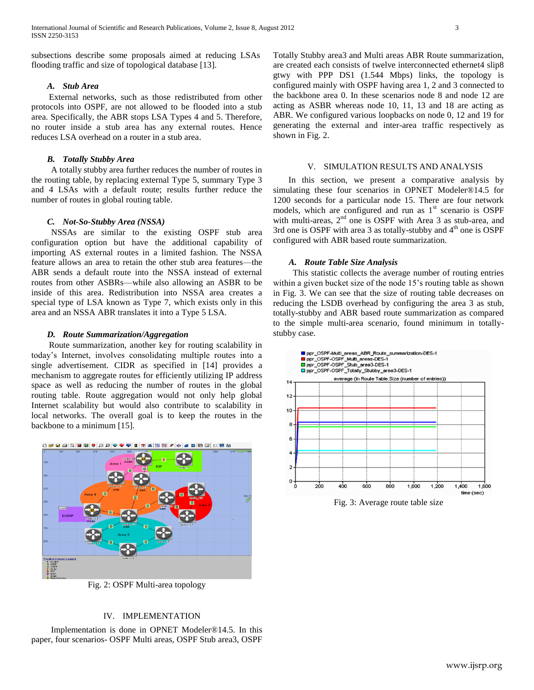subsections describe some proposals aimed at reducing LSAs flooding traffic and size of topological database [13].

### *A. Stub Area*

 External networks, such as those redistributed from other protocols into OSPF, are not allowed to be flooded into a stub area. Specifically, the ABR stops LSA Types 4 and 5. Therefore, no router inside a stub area has any external routes. Hence reduces LSA overhead on a router in a stub area.

# *B. Totally Stubby Area*

 A totally stubby area further reduces the number of routes in the routing table, by replacing external Type 5, summary Type 3 and 4 LSAs with a default route; results further reduce the number of routes in global routing table.

### *C. Not-So-Stubby Area (NSSA)*

 NSSAs are similar to the existing OSPF stub area configuration option but have the additional capability of importing AS external routes in a limited fashion. The NSSA feature allows an area to retain the other stub area features—the ABR sends a default route into the NSSA instead of external routes from other ASBRs—while also allowing an ASBR to be inside of this area. Redistribution into NSSA area creates a special type of LSA known as Type 7, which exists only in this area and an NSSA ABR translates it into a Type 5 LSA.

### *D. Route Summarization/Aggregation*

 Route summarization, another key for routing scalability in today's Internet, involves consolidating multiple routes into a single advertisement. CIDR as specified in [14] provides a mechanism to aggregate routes for efficiently utilizing IP address space as well as reducing the number of routes in the global routing table. Route aggregation would not only help global Internet scalability but would also contribute to scalability in local networks. The overall goal is to keep the routes in the backbone to a minimum [15].



Fig. 2: OSPF Multi-area topology

# IV. IMPLEMENTATION

 Implementation is done in OPNET Modeler®14.5. In this paper, four scenarios- OSPF Multi areas, OSPF Stub area3, OSPF Totally Stubby area3 and Multi areas ABR Route summarization, are created each consists of twelve interconnected ethernet4 slip8 gtwy with PPP DS1 (1.544 Mbps) links, the topology is configured mainly with OSPF having area 1, 2 and 3 connected to the backbone area 0. In these scenarios node 8 and node 12 are acting as ASBR whereas node 10, 11, 13 and 18 are acting as ABR. We configured various loopbacks on node 0, 12 and 19 for generating the external and inter-area traffic respectively as shown in Fig. 2.

#### V. SIMULATION RESULTS AND ANALYSIS

 In this section, we present a comparative analysis by simulating these four scenarios in OPNET Modeler®14.5 for 1200 seconds for a particular node 15. There are four network models, which are configured and run as  $1<sup>st</sup>$  scenario is OSPF with multi-areas, 2<sup>nd</sup> one is OSPF with Area 3 as stub-area, and 3rd one is OSPF with area 3 as totally-stubby and  $4<sup>th</sup>$  one is OSPF configured with ABR based route summarization.

## *A. Route Table Size Analysis*

 This statistic collects the average number of routing entries within a given bucket size of the node 15's routing table as shown in Fig. 3. We can see that the size of routing table decreases on reducing the LSDB overhead by configuring the area 3 as stub, totally-stubby and ABR based route summarization as compared to the simple multi-area scenario, found minimum in totallystubby case.



Fig. 3: Average route table size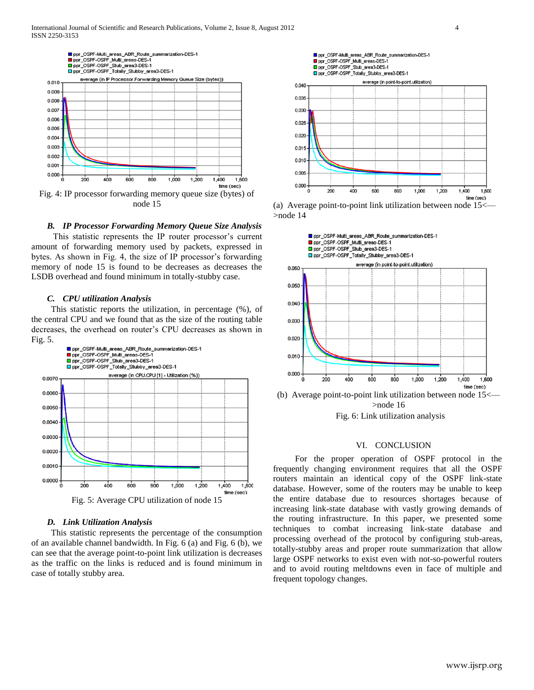

node 15

#### *B. IP Processor Forwarding Memory Queue Size Analysis*

 This statistic represents the IP router processor's current amount of forwarding memory used by packets, expressed in bytes. As shown in Fig. 4, the size of IP processor's forwarding memory of node 15 is found to be decreases as decreases the LSDB overhead and found minimum in totally-stubby case.

#### *C. CPU utilization Analysis*

 This statistic reports the utilization, in percentage (%), of the central CPU and we found that as the size of the routing table decreases, the overhead on router's CPU decreases as shown in Fig. 5.



#### *D. Link Utilization Analysis*

 This statistic represents the percentage of the consumption of an available channel bandwidth. In Fig. 6 (a) and Fig. 6 (b), we can see that the average point-to-point link utilization is decreases as the traffic on the links is reduced and is found minimum in case of totally stubby area.







(b) Average point-to-point link utilization between node  $15<$ >node 16



#### VI. CONCLUSION

 For the proper operation of OSPF protocol in the frequently changing environment requires that all the OSPF routers maintain an identical copy of the OSPF link-state database. However, some of the routers may be unable to keep the entire database due to resources shortages because of increasing link-state database with vastly growing demands of the routing infrastructure. In this paper, we presented some techniques to combat increasing link-state database and processing overhead of the protocol by configuring stub-areas, totally-stubby areas and proper route summarization that allow large OSPF networks to exist even with not-so-powerful routers and to avoid routing meltdowns even in face of multiple and frequent topology changes.